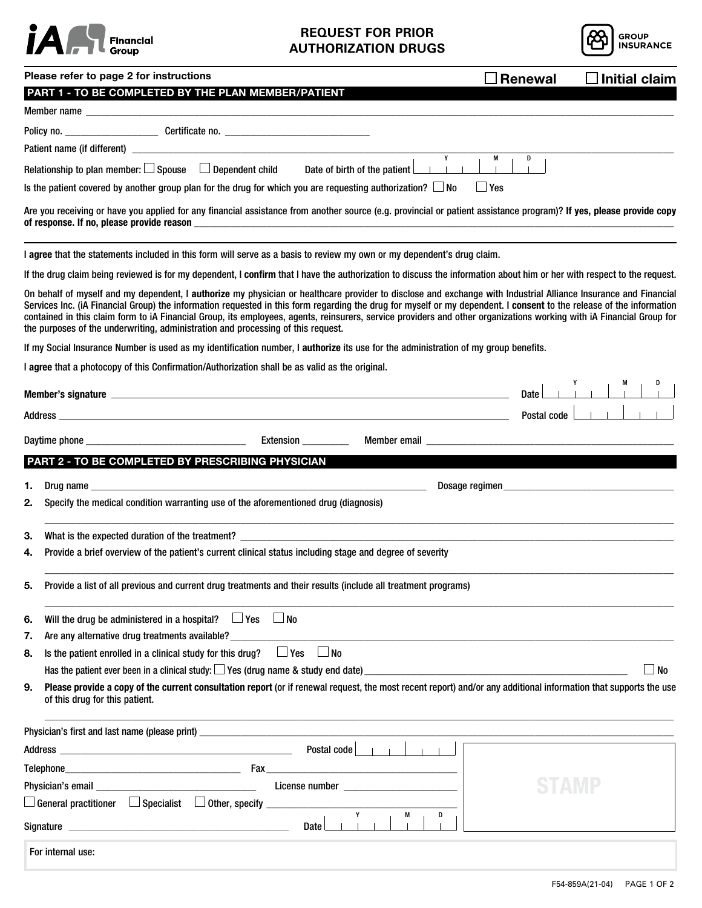

## **REQUEST FOR PRIOR AUTHORIZATION DRUGS**



| Please refer to page 2 for instructions                                                                                                                                                                                                                                                                                                                                                                                                                                                                                                                                                             | $\Box$ Renewal<br>$\Box$ Initial claim |
|-----------------------------------------------------------------------------------------------------------------------------------------------------------------------------------------------------------------------------------------------------------------------------------------------------------------------------------------------------------------------------------------------------------------------------------------------------------------------------------------------------------------------------------------------------------------------------------------------------|----------------------------------------|
| PART 1 - TO BE COMPLETED BY THE PLAN MEMBER/PATIENT                                                                                                                                                                                                                                                                                                                                                                                                                                                                                                                                                 |                                        |
|                                                                                                                                                                                                                                                                                                                                                                                                                                                                                                                                                                                                     |                                        |
|                                                                                                                                                                                                                                                                                                                                                                                                                                                                                                                                                                                                     |                                        |
|                                                                                                                                                                                                                                                                                                                                                                                                                                                                                                                                                                                                     | M<br>D                                 |
| Relationship to plan member: $\square$ Spouse $\Box$ Dependent child Date of birth of the patient $\square$                                                                                                                                                                                                                                                                                                                                                                                                                                                                                         |                                        |
| Is the patient covered by another group plan for the drug for which you are requesting authorization? $\Box$ No                                                                                                                                                                                                                                                                                                                                                                                                                                                                                     | $\Box$ Yes                             |
| Are you receiving or have you applied for any financial assistance from another source (e.g. provincial or patient assistance program)? If yes, please provide copy<br>of response. If no, please provide reason                                                                                                                                                                                                                                                                                                                                                                                    |                                        |
| I agree that the statements included in this form will serve as a basis to review my own or my dependent's drug claim.                                                                                                                                                                                                                                                                                                                                                                                                                                                                              |                                        |
| If the drug claim being reviewed is for my dependent, I confirm that I have the authorization to discuss the information about him or her with respect to the request.                                                                                                                                                                                                                                                                                                                                                                                                                              |                                        |
| On behalf of myself and my dependent, I authorize my physician or healthcare provider to disclose and exchange with Industrial Alliance Insurance and Financial<br>Services Inc. (iA Financial Group) the information requested in this form regarding the drug for myself or my dependent. I consent to the release of the information<br>contained in this claim form to iA Financial Group, its employees, agents, reinsurers, service providers and other organizations working with iA Financial Group for<br>the purposes of the underwriting, administration and processing of this request. |                                        |
| If my Social Insurance Number is used as my identification number, I authorize its use for the administration of my group benefits.                                                                                                                                                                                                                                                                                                                                                                                                                                                                 |                                        |
| I agree that a photocopy of this Confirmation/Authorization shall be as valid as the original.                                                                                                                                                                                                                                                                                                                                                                                                                                                                                                      |                                        |
|                                                                                                                                                                                                                                                                                                                                                                                                                                                                                                                                                                                                     | Date L                                 |
| Address and the contract of the contract of the contract of the contract of the contract of the contract of the                                                                                                                                                                                                                                                                                                                                                                                                                                                                                     | Postal code L                          |
|                                                                                                                                                                                                                                                                                                                                                                                                                                                                                                                                                                                                     |                                        |
| Extension _________                                                                                                                                                                                                                                                                                                                                                                                                                                                                                                                                                                                 |                                        |
| PART 2 - TO BE COMPLETED BY PRESCRIBING PHYSICIAN                                                                                                                                                                                                                                                                                                                                                                                                                                                                                                                                                   |                                        |
| 1.<br>Drug name that the contract of the contract of the contract of the contract of the contract of the contract of the contract of the contract of the contract of the contract of the contract of the contract of the contract of                                                                                                                                                                                                                                                                                                                                                                | Dosage regimen                         |
| Specify the medical condition warranting use of the aforementioned drug (diagnosis)<br>2.                                                                                                                                                                                                                                                                                                                                                                                                                                                                                                           |                                        |
| 3.<br>What is the expected duration of the treatment?                                                                                                                                                                                                                                                                                                                                                                                                                                                                                                                                               |                                        |
| Provide a brief overview of the patient's current clinical status including stage and degree of severity<br>4.                                                                                                                                                                                                                                                                                                                                                                                                                                                                                      |                                        |
| Provide a list of all previous and current drug treatments and their results (include all treatment programs)<br>5.                                                                                                                                                                                                                                                                                                                                                                                                                                                                                 |                                        |
| Will the drug be administered in a hospital? $\Box$ Yes $\Box$ No<br>6.                                                                                                                                                                                                                                                                                                                                                                                                                                                                                                                             |                                        |
| Are any alternative drug treatments available? _________________________________<br>7.                                                                                                                                                                                                                                                                                                                                                                                                                                                                                                              |                                        |
| Is the patient enrolled in a clinical study for this drug? $\Box$ Yes<br>$\Box$ No<br>8.                                                                                                                                                                                                                                                                                                                                                                                                                                                                                                            |                                        |
| Has the patient ever been in a clinical study: $\Box$ Yes (drug name & study end date)                                                                                                                                                                                                                                                                                                                                                                                                                                                                                                              | $\Box$ No                              |
| Please provide a copy of the current consultation report (or if renewal request, the most recent report) and/or any additional information that supports the use<br>9.<br>of this drug for this patient.                                                                                                                                                                                                                                                                                                                                                                                            |                                        |
|                                                                                                                                                                                                                                                                                                                                                                                                                                                                                                                                                                                                     |                                        |
|                                                                                                                                                                                                                                                                                                                                                                                                                                                                                                                                                                                                     |                                        |
|                                                                                                                                                                                                                                                                                                                                                                                                                                                                                                                                                                                                     |                                        |
|                                                                                                                                                                                                                                                                                                                                                                                                                                                                                                                                                                                                     |                                        |
|                                                                                                                                                                                                                                                                                                                                                                                                                                                                                                                                                                                                     |                                        |
| Y<br>М<br>D<br>Date                                                                                                                                                                                                                                                                                                                                                                                                                                                                                                                                                                                 |                                        |
| For internal use:                                                                                                                                                                                                                                                                                                                                                                                                                                                                                                                                                                                   |                                        |